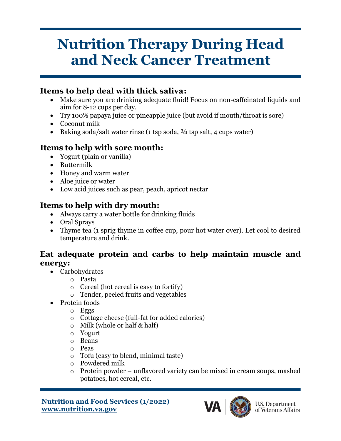# **Nutrition Therapy During Head and Neck Cancer Treatment**

### **Items to help deal with thick saliva:**

- Make sure you are drinking adequate fluid! Focus on non-caffeinated liquids and aim for 8-12 cups per day.
- Try 100% papaya juice or pineapple juice (but avoid if mouth/throat is sore)
- Coconut milk
- Baking soda/salt water rinse (1 tsp soda,  $\frac{3}{4}$  tsp salt, 4 cups water)

## **Items to help with sore mouth:**

- Yogurt (plain or vanilla)
- Buttermilk
- Honey and warm water
- Aloe juice or water
- Low acid juices such as pear, peach, apricot nectar

## **Items to help with dry mouth:**

- Always carry a water bottle for drinking fluids
- Oral Sprays
- Thyme tea (1 sprig thyme in coffee cup, pour hot water over). Let cool to desired temperature and drink.

#### **Eat adequate protein and carbs to help maintain muscle and energy:**

- Carbohydrates
	- o Pasta
	- o Cereal (hot cereal is easy to fortify)
	- o Tender, peeled fruits and vegetables
- Protein foods
	- o Eggs
	- o Cottage cheese (full-fat for added calories)
	- o Milk (whole or half & half)
	- o Yogurt
	- o Beans
	- o Peas
	- o Tofu (easy to blend, minimal taste)
	- o Powdered milk
	- o Protein powder unflavored variety can be mixed in cream soups, mashed potatoes, hot cereal, etc.